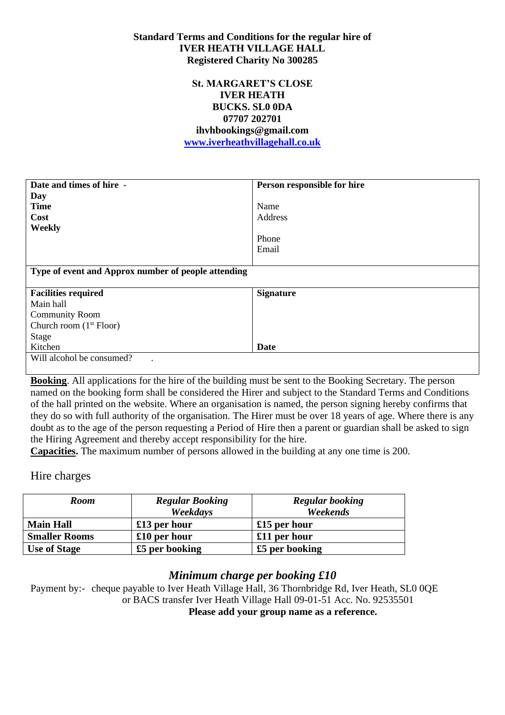### **Standard Terms and Conditions for the regular hire of IVER HEATH VILLAGE HALL Registered Charity No 300285**

### **St. MARGARET'S CLOSE IVER HEATH BUCKS. SL0 0DA 07707 202701 ihvhbookings@gmail.com [www.iverheathvillagehall.co.uk](http://www.iverheathvillagehall.co.uk/)**

| Date and times of hire -                            | Person responsible for hire |  |
|-----------------------------------------------------|-----------------------------|--|
| Day                                                 |                             |  |
| <b>Time</b>                                         | Name                        |  |
| Cost                                                | <b>Address</b>              |  |
| Weekly                                              |                             |  |
|                                                     | Phone                       |  |
|                                                     | Email                       |  |
|                                                     |                             |  |
| Type of event and Approx number of people attending |                             |  |
|                                                     |                             |  |
| <b>Facilities required</b>                          | <b>Signature</b>            |  |
| Main hall                                           |                             |  |
| <b>Community Room</b>                               |                             |  |
| Church room $(1st Floor)$                           |                             |  |
| <b>Stage</b>                                        |                             |  |
| Kitchen                                             | Date                        |  |
| Will alcohol be consumed?                           |                             |  |
|                                                     |                             |  |

**Booking**. All applications for the hire of the building must be sent to the Booking Secretary. The person named on the booking form shall be considered the Hirer and subject to the Standard Terms and Conditions of the hall printed on the website. Where an organisation is named, the person signing hereby confirms that they do so with full authority of the organisation. The Hirer must be over 18 years of age. Where there is any doubt as to the age of the person requesting a Period of Hire then a parent or guardian shall be asked to sign the Hiring Agreement and thereby accept responsibility for the hire.

**Capacities.** The maximum number of persons allowed in the building at any one time is 200.

Hire charges

| <b>Room</b>          | <b>Regular Booking</b> | <b>Regular booking</b> |
|----------------------|------------------------|------------------------|
|                      | Weekdays               | Weekends               |
| <b>Main Hall</b>     | $£13$ per hour         | £15 per hour           |
| <b>Smaller Rooms</b> | $£10$ per hour         | £11 per hour           |
| Use of Stage         | £5 per booking         | £5 per booking         |

### *Minimum charge per booking £10*

Payment by:- cheque payable to Iver Heath Village Hall, 36 Thornbridge Rd, Iver Heath, SL0 0QE or BACS transfer Iver Heath Village Hall 09-01-51 Acc. No. 92535501 **Please add your group name as a reference.**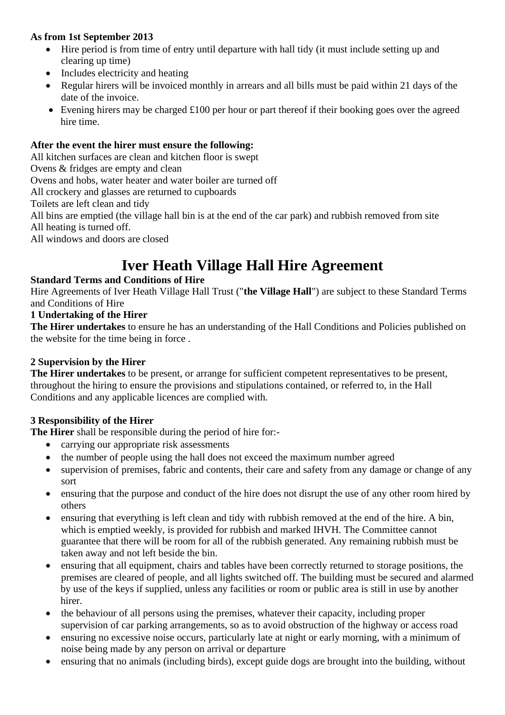### **As from 1st September 2013**

- Hire period is from time of entry until departure with hall tidy (it must include setting up and clearing up time)
- Includes electricity and heating
- Regular hirers will be invoiced monthly in arrears and all bills must be paid within 21 days of the date of the invoice.
- Evening hirers may be charged £100 per hour or part thereof if their booking goes over the agreed hire time.

### **After the event the hirer must ensure the following:**

All kitchen surfaces are clean and kitchen floor is swept

Ovens & fridges are empty and clean

Ovens and hobs, water heater and water boiler are turned off

All crockery and glasses are returned to cupboards

Toilets are left clean and tidy

All bins are emptied (the village hall bin is at the end of the car park) and rubbish removed from site

All heating is turned off.

All windows and doors are closed

# **Iver Heath Village Hall Hire Agreement**

### **Standard Terms and Conditions of Hire**

Hire Agreements of Iver Heath Village Hall Trust ("**the Village Hall**") are subject to these Standard Terms and Conditions of Hire

### **1 Undertaking of the Hirer**

**The Hirer undertakes** to ensure he has an understanding of the Hall Conditions and Policies published on the website for the time being in force .

### **2 Supervision by the Hirer**

**The Hirer undertakes** to be present, or arrange for sufficient competent representatives to be present, throughout the hiring to ensure the provisions and stipulations contained, or referred to, in the Hall Conditions and any applicable licences are complied with.

### **3 Responsibility of the Hirer**

**The Hirer** shall be responsible during the period of hire for:-

- carrying our appropriate risk assessments
- the number of people using the hall does not exceed the maximum number agreed
- supervision of premises, fabric and contents, their care and safety from any damage or change of any sort
- ensuring that the purpose and conduct of the hire does not disrupt the use of any other room hired by others
- ensuring that everything is left clean and tidy with rubbish removed at the end of the hire. A bin, which is emptied weekly, is provided for rubbish and marked IHVH. The Committee cannot guarantee that there will be room for all of the rubbish generated. Any remaining rubbish must be taken away and not left beside the bin.
- ensuring that all equipment, chairs and tables have been correctly returned to storage positions, the premises are cleared of people, and all lights switched off. The building must be secured and alarmed by use of the keys if supplied, unless any facilities or room or public area is still in use by another hirer.
- the behaviour of all persons using the premises, whatever their capacity, including proper supervision of car parking arrangements, so as to avoid obstruction of the highway or access road
- ensuring no excessive noise occurs, particularly late at night or early morning, with a minimum of noise being made by any person on arrival or departure
- ensuring that no animals (including birds), except guide dogs are brought into the building, without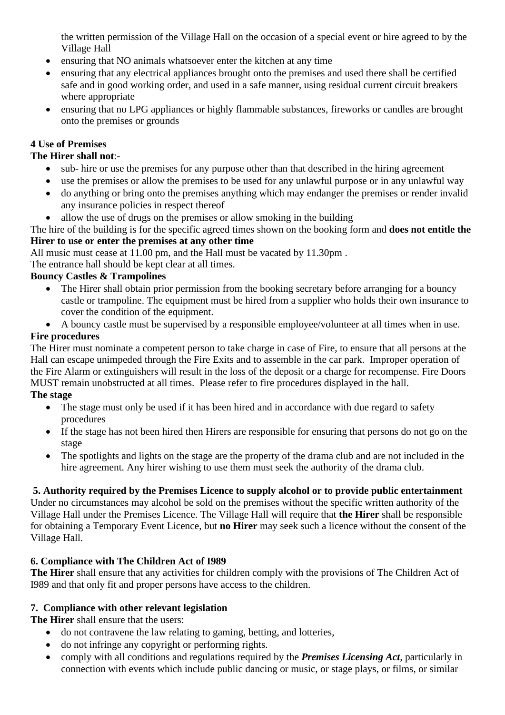the written permission of the Village Hall on the occasion of a special event or hire agreed to by the Village Hall

- ensuring that NO animals whatsoever enter the kitchen at any time
- ensuring that any electrical appliances brought onto the premises and used there shall be certified safe and in good working order, and used in a safe manner, using residual current circuit breakers where appropriate
- ensuring that no LPG appliances or highly flammable substances, fireworks or candles are brought onto the premises or grounds

# **4 Use of Premises**

# **The Hirer shall not**:-

- sub- hire or use the premises for any purpose other than that described in the hiring agreement
- use the premises or allow the premises to be used for any unlawful purpose or in any unlawful way
- do anything or bring onto the premises anything which may endanger the premises or render invalid any insurance policies in respect thereof
- allow the use of drugs on the premises or allow smoking in the building
- The hire of the building is for the specific agreed times shown on the booking form and **does not entitle the Hirer to use or enter the premises at any other time**

All music must cease at 11.00 pm, and the Hall must be vacated by 11.30pm.

The entrance hall should be kept clear at all times.

# **Bouncy Castles & Trampolines**

- The Hirer shall obtain prior permission from the booking secretary before arranging for a bouncy castle or trampoline. The equipment must be hired from a supplier who holds their own insurance to cover the condition of the equipment.
- A bouncy castle must be supervised by a responsible employee/volunteer at all times when in use.

# **Fire procedures**

The Hirer must nominate a competent person to take charge in case of Fire, to ensure that all persons at the Hall can escape unimpeded through the Fire Exits and to assemble in the car park. Improper operation of the Fire Alarm or extinguishers will result in the loss of the deposit or a charge for recompense. Fire Doors MUST remain unobstructed at all times. Please refer to fire procedures displayed in the hall.

### **The stage**

- The stage must only be used if it has been hired and in accordance with due regard to safety procedures
- If the stage has not been hired then Hirers are responsible for ensuring that persons do not go on the stage
- The spotlights and lights on the stage are the property of the drama club and are not included in the hire agreement. Any hirer wishing to use them must seek the authority of the drama club.

# **5. Authority required by the Premises Licence to supply alcohol or to provide public entertainment**

Under no circumstances may alcohol be sold on the premises without the specific written authority of the Village Hall under the Premises Licence. The Village Hall will require that **the Hirer** shall be responsible for obtaining a Temporary Event Licence, but **no Hirer** may seek such a licence without the consent of the Village Hall.

# **6. Compliance with The Children Act of I989**

**The Hirer** shall ensure that any activities for children comply with the provisions of The Children Act of I989 and that only fit and proper persons have access to the children.

# **7. Compliance with other relevant legislation**

**The Hirer** shall ensure that the users:

- do not contravene the law relating to gaming, betting, and lotteries,
- do not infringe any copyright or performing rights.
- comply with all conditions and regulations required by the *Premises Licensing Act,* particularly in connection with events which include public dancing or music, or stage plays, or films, or similar